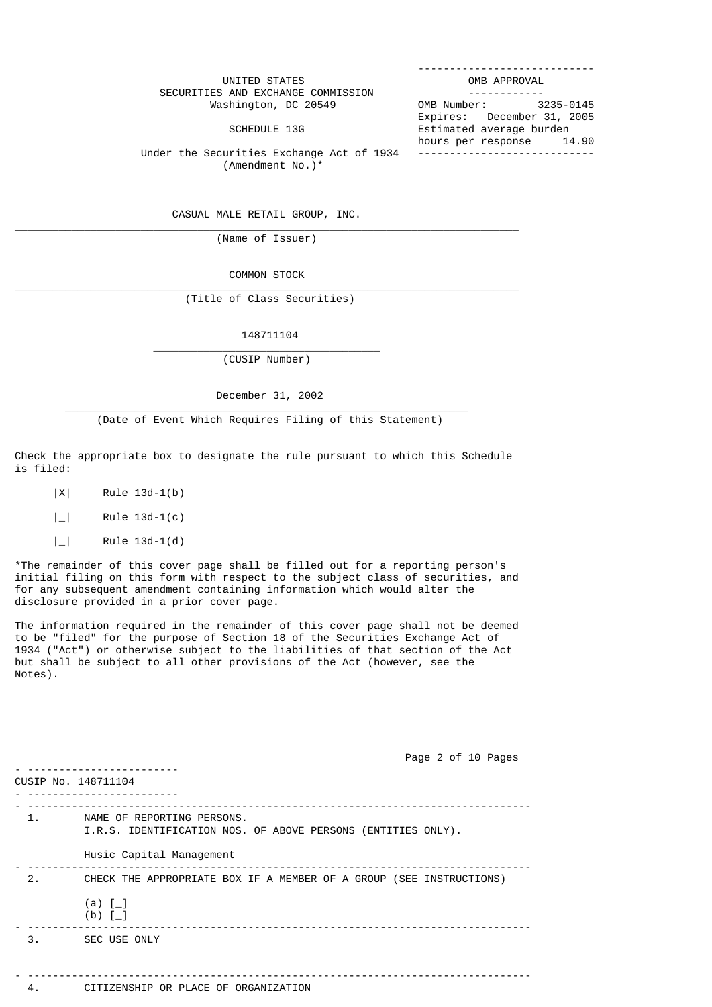| UNITED STATES                             | OMB APPROVAL               |  |
|-------------------------------------------|----------------------------|--|
| SECURITIES AND EXCHANGE COMMISSION        |                            |  |
| Washington, DC 20549                      | OMB Number: 3235-0145      |  |
|                                           | Expires: December 31, 2005 |  |
| SCHEDULE 13G                              | Estimated average burden   |  |
|                                           | hours per response 14.90   |  |
| Under the Securities Exchange Act of 1934 |                            |  |

(Amendment No.)\*

CASUAL MALE RETAIL GROUP, INC.

\_\_\_\_\_\_\_\_\_\_\_\_\_\_\_\_\_\_\_\_\_\_\_\_\_\_\_\_\_\_\_\_\_\_\_\_\_\_\_\_\_\_\_\_\_\_\_\_\_\_\_\_\_\_\_\_\_\_\_\_\_\_\_\_\_\_\_\_\_\_\_\_\_\_\_\_\_\_\_\_ (Name of Issuer)

COMMON STOCK

\_\_\_\_\_\_\_\_\_\_\_\_\_\_\_\_\_\_\_\_\_\_\_\_\_\_\_\_\_\_\_\_\_\_\_\_\_\_\_\_\_\_\_\_\_\_\_\_\_\_\_\_\_\_\_\_\_\_\_\_\_\_\_\_\_\_\_\_\_\_\_\_\_\_\_\_\_\_\_\_ (Title of Class Securities)

148711104

(CUSIP Number)

 $\frac{1}{2}$  , and the set of the set of the set of the set of the set of the set of the set of the set of the set of the set of the set of the set of the set of the set of the set of the set of the set of the set of the set

December 31, 2002

\_\_\_\_\_\_\_\_\_\_\_\_\_\_\_\_\_\_\_\_\_\_\_\_\_\_\_\_\_\_\_\_\_\_\_\_\_\_\_\_\_\_\_\_\_\_\_\_\_\_\_\_\_\_\_\_\_\_\_\_\_\_\_\_

(Date of Event Which Requires Filing of this Statement)

Check the appropriate box to designate the rule pursuant to which this Schedule is filed:

|X| Rule 13d-1(b)

|\_| Rule 13d-1(c)

 $|$  | Rule 13d-1(d)

\*The remainder of this cover page shall be filled out for a reporting person's initial filing on this form with respect to the subject class of securities, and for any subsequent amendment containing information which would alter the disclosure provided in a prior cover page.

The information required in the remainder of this cover page shall not be deemed to be "filed" for the purpose of Section 18 of the Securities Exchange Act of 1934 ("Act") or otherwise subject to the liabilities of that section of the Act but shall be subject to all other provisions of the Act (however, see the Notes).

 Page 2 of 10 Pages - ------------------------ CUSIP No. 148711104 - ------------------------ - -------------------------------------------------------------------------------- 1. NAME OF REPORTING PERSONS. I.R.S. IDENTIFICATION NOS. OF ABOVE PERSONS (ENTITIES ONLY). Husic Capital Management - -------------------------------------------------------------------------------- 2. CHECK THE APPROPRIATE BOX IF A MEMBER OF A GROUP (SEE INSTRUCTIONS)  $(a)$   $\lceil$  (b) [\_] - -------------------------------------------------------------------------------- 3. SEC USE ONLY - -------------------------------------------------------------------------------- 4. CITIZENSHIP OR PLACE OF ORGANIZATION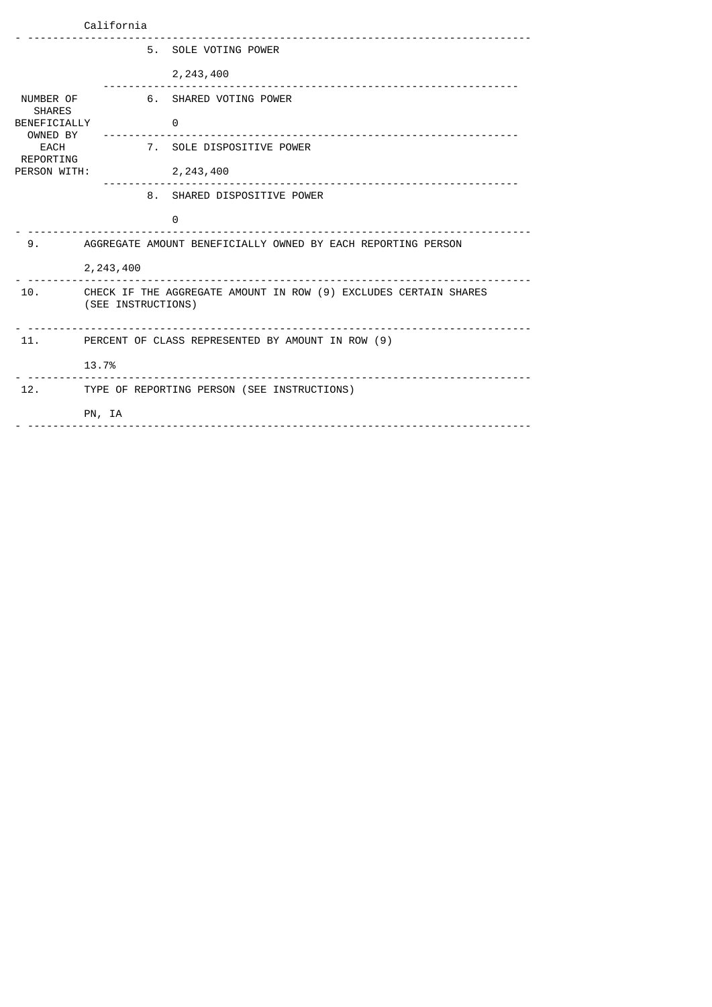| California                                                                                         |                                                 |  |                                                                  |
|----------------------------------------------------------------------------------------------------|-------------------------------------------------|--|------------------------------------------------------------------|
|                                                                                                    |                                                 |  | 5. SOLE VOTING POWER                                             |
|                                                                                                    |                                                 |  | 2,243,400                                                        |
| NUMBER OF<br><b>SHARES</b><br>BENEFICIALLY<br>OWNED BY<br><b>EACH</b><br>REPORTING<br>PERSON WITH: |                                                 |  | 6. SHARED VOTING POWER                                           |
|                                                                                                    |                                                 |  | 0                                                                |
|                                                                                                    |                                                 |  | 7. SOLE DISPOSITIVE POWER                                        |
|                                                                                                    |                                                 |  | 2,243,400                                                        |
|                                                                                                    |                                                 |  | 8. SHARED DISPOSITIVE POWER                                      |
|                                                                                                    |                                                 |  | 0                                                                |
| 9.                                                                                                 |                                                 |  | AGGREGATE AMOUNT BENEFICIALLY OWNED BY EACH REPORTING PERSON     |
|                                                                                                    | 2,243,400                                       |  |                                                                  |
| 10.                                                                                                | (SEE INSTRUCTIONS)                              |  | CHECK IF THE AGGREGATE AMOUNT IN ROW (9) EXCLUDES CERTAIN SHARES |
| 11.                                                                                                |                                                 |  | PERCENT OF CLASS REPRESENTED BY AMOUNT IN ROW (9)                |
|                                                                                                    | 13.7%                                           |  |                                                                  |
|                                                                                                    | 12. TYPE OF REPORTING PERSON (SEE INSTRUCTIONS) |  |                                                                  |
|                                                                                                    | PN, IA                                          |  |                                                                  |
|                                                                                                    |                                                 |  |                                                                  |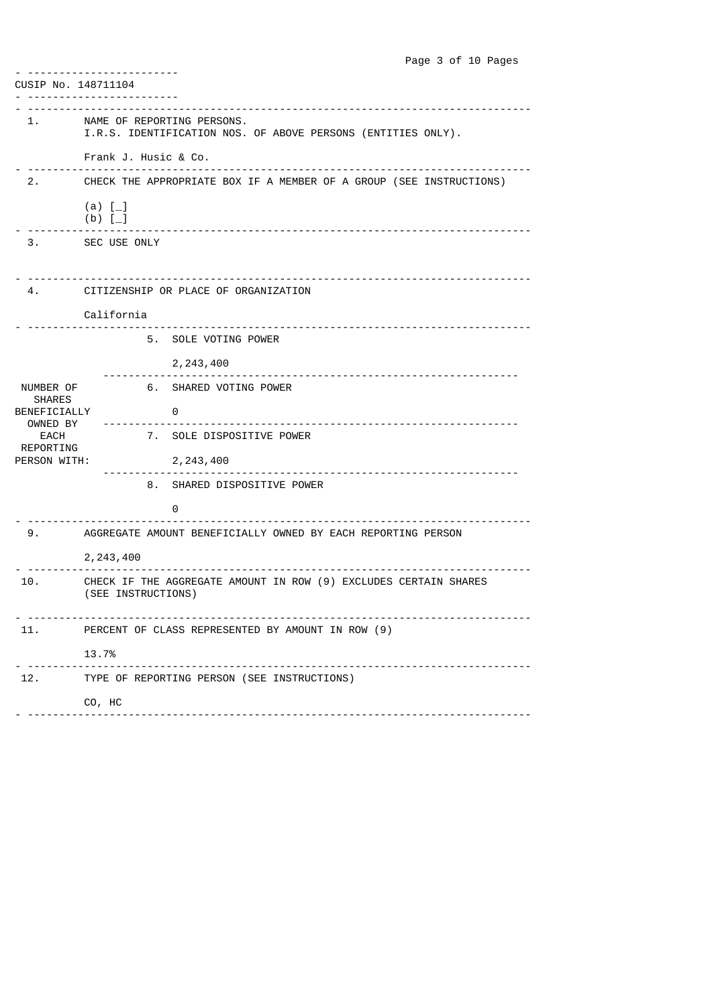| CUSIP No. 148711104        |                                                                                            |  |  |  |
|----------------------------|--------------------------------------------------------------------------------------------|--|--|--|
|                            | NAME OF REPORTING PERSONS.<br>I.R.S. IDENTIFICATION NOS. OF ABOVE PERSONS (ENTITIES ONLY). |  |  |  |
|                            | Frank J. Husic & Co.                                                                       |  |  |  |
|                            | 2. CHECK THE APPROPRIATE BOX IF A MEMBER OF A GROUP (SEE INSTRUCTIONS)                     |  |  |  |
|                            | (a) $[-]$<br>$(b)$ $[-]$                                                                   |  |  |  |
|                            | 3. SEC USE ONLY                                                                            |  |  |  |
|                            | 4. CITIZENSHIP OR PLACE OF ORGANIZATION                                                    |  |  |  |
|                            | California                                                                                 |  |  |  |
|                            | 5. SOLE VOTING POWER                                                                       |  |  |  |
|                            | 2, 243, 400                                                                                |  |  |  |
| NUMBER OF<br><b>SHARES</b> | 6. SHARED VOTING POWER                                                                     |  |  |  |
| BENEFICIALLY<br>OWNED BY   | $\overline{0}$                                                                             |  |  |  |
| EACH<br>REPORTING          | 7. SOLE DISPOSITIVE POWER                                                                  |  |  |  |
| PERSON WITH:               | 2, 243, 400                                                                                |  |  |  |
|                            | 8. SHARED DISPOSITIVE POWER                                                                |  |  |  |
|                            | 0                                                                                          |  |  |  |
|                            | AGGREGATE AMOUNT BENEFICIALLY OWNED BY EACH REPORTING PERSON                               |  |  |  |
|                            | 2,243,400                                                                                  |  |  |  |
| 10.                        | CHECK IF THE AGGREGATE AMOUNT IN ROW (9) EXCLUDES CERTAIN SHARES<br>(SEE INSTRUCTIONS)     |  |  |  |
| 11.                        | PERCENT OF CLASS REPRESENTED BY AMOUNT IN ROW (9)                                          |  |  |  |
|                            | 13.7%                                                                                      |  |  |  |
|                            | 12. TYPE OF REPORTING PERSON (SEE INSTRUCTIONS)                                            |  |  |  |
|                            | CO, HC                                                                                     |  |  |  |
|                            |                                                                                            |  |  |  |

Page 3 of 10 Pages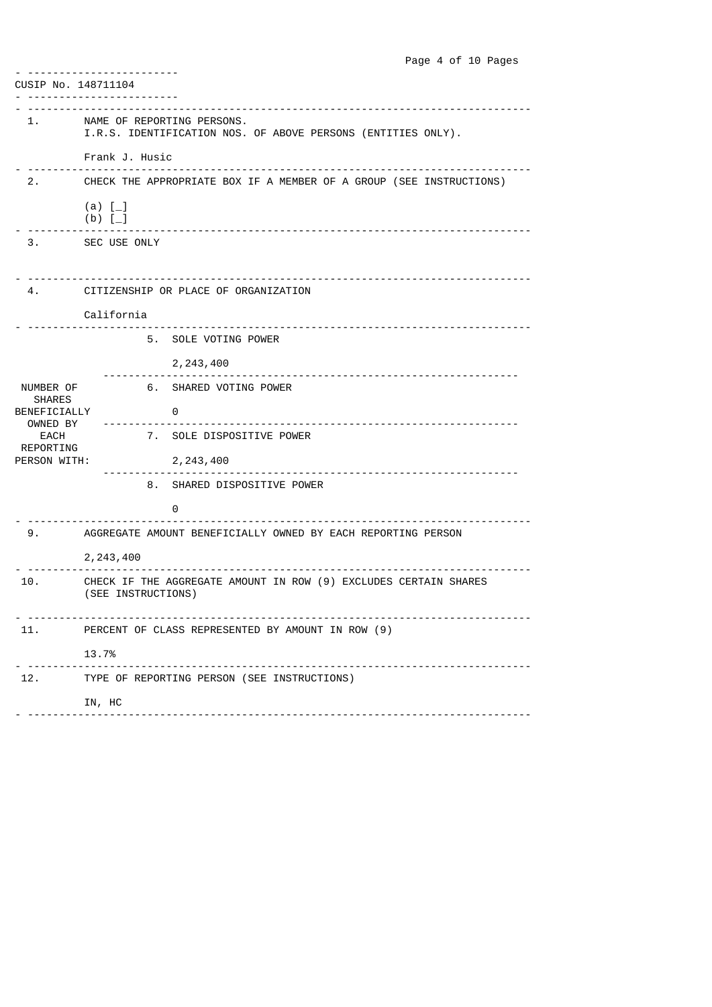|                                           | Page 4 of 10 Pages                                                                         |  |  |  |
|-------------------------------------------|--------------------------------------------------------------------------------------------|--|--|--|
| CUSIP No. 148711104                       |                                                                                            |  |  |  |
|                                           | --------------<br>---------                                                                |  |  |  |
| 1.                                        | NAME OF REPORTING PERSONS.<br>I.R.S. IDENTIFICATION NOS. OF ABOVE PERSONS (ENTITIES ONLY). |  |  |  |
|                                           | Frank J. Husic<br>_____________________________                                            |  |  |  |
| 2.                                        | CHECK THE APPROPRIATE BOX IF A MEMBER OF A GROUP (SEE INSTRUCTIONS)                        |  |  |  |
|                                           | (a) $[-]$<br>(b) <sup>[</sup> ]                                                            |  |  |  |
|                                           | 3. SEC USE ONLY                                                                            |  |  |  |
|                                           | CITIZENSHIP OR PLACE OF ORGANIZATION                                                       |  |  |  |
|                                           |                                                                                            |  |  |  |
|                                           | California<br>----------------------------------                                           |  |  |  |
|                                           | 5. SOLE VOTING POWER                                                                       |  |  |  |
|                                           | 2, 243, 400                                                                                |  |  |  |
| NUMBER OF                                 | 6. SHARED VOTING POWER                                                                     |  |  |  |
| <b>SHARES</b><br>BENEFICIALLY<br>OWNED BY | - 0                                                                                        |  |  |  |
| EACH<br>REPORTING                         | 7. SOLE DISPOSITIVE POWER                                                                  |  |  |  |
| PERSON WITH:                              | 2, 243, 400                                                                                |  |  |  |
|                                           | 8. SHARED DISPOSITIVE POWER                                                                |  |  |  |
|                                           | 0                                                                                          |  |  |  |
| 9.                                        | AGGREGATE AMOUNT BENEFICIALLY OWNED BY EACH REPORTING PERSON                               |  |  |  |
|                                           | 2, 243, 400                                                                                |  |  |  |
| 10.                                       | CHECK IF THE AGGREGATE AMOUNT IN ROW (9) EXCLUDES CERTAIN SHARES<br>(SEE INSTRUCTIONS)     |  |  |  |
| 11.                                       | PERCENT OF CLASS REPRESENTED BY AMOUNT IN ROW (9)                                          |  |  |  |
|                                           | 13.7%                                                                                      |  |  |  |
|                                           | 12. TYPE OF REPORTING PERSON (SEE INSTRUCTIONS)                                            |  |  |  |
|                                           | IN, HC                                                                                     |  |  |  |
|                                           |                                                                                            |  |  |  |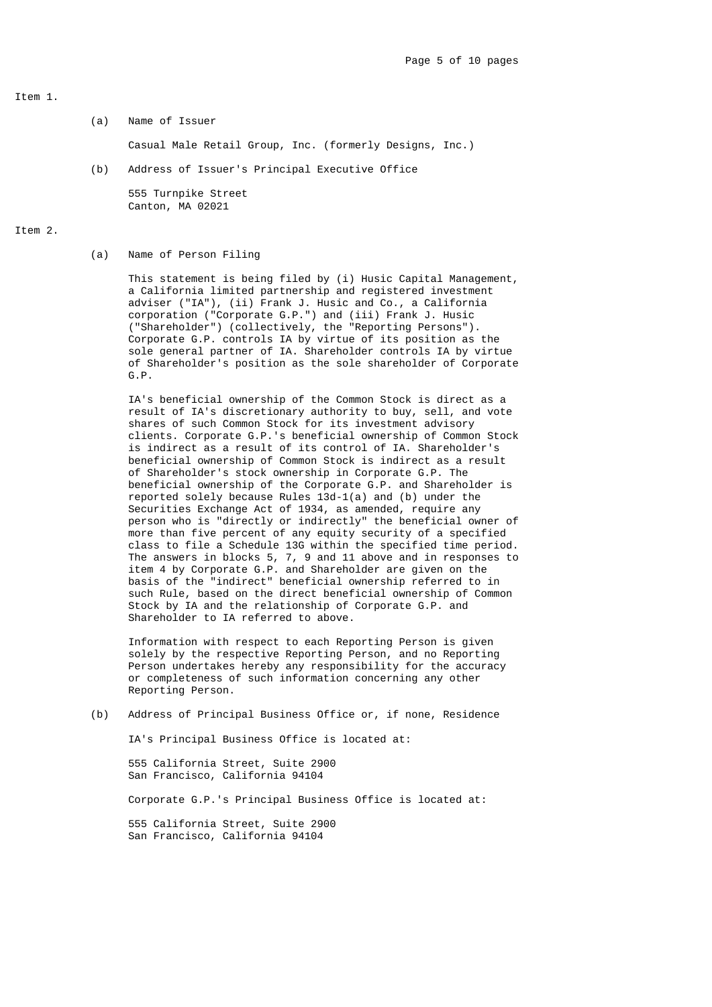### Item 1.

(a) Name of Issuer

Casual Male Retail Group, Inc. (formerly Designs, Inc.)

(b) Address of Issuer's Principal Executive Office

 555 Turnpike Street Canton, MA 02021

# Item 2.

(a) Name of Person Filing

 This statement is being filed by (i) Husic Capital Management, a California limited partnership and registered investment adviser ("IA"), (ii) Frank J. Husic and Co., a California corporation ("Corporate G.P.") and (iii) Frank J. Husic ("Shareholder") (collectively, the "Reporting Persons"). Corporate G.P. controls IA by virtue of its position as the sole general partner of IA. Shareholder controls IA by virtue of Shareholder's position as the sole shareholder of Corporate G.P.

 IA's beneficial ownership of the Common Stock is direct as a result of IA's discretionary authority to buy, sell, and vote shares of such Common Stock for its investment advisory clients. Corporate G.P.'s beneficial ownership of Common Stock is indirect as a result of its control of IA. Shareholder's beneficial ownership of Common Stock is indirect as a result of Shareholder's stock ownership in Corporate G.P. The beneficial ownership of the Corporate G.P. and Shareholder is reported solely because Rules 13d-1(a) and (b) under the Securities Exchange Act of 1934, as amended, require any person who is "directly or indirectly" the beneficial owner of more than five percent of any equity security of a specified class to file a Schedule 13G within the specified time period. The answers in blocks 5, 7, 9 and 11 above and in responses to item 4 by Corporate G.P. and Shareholder are given on the basis of the "indirect" beneficial ownership referred to in such Rule, based on the direct beneficial ownership of Common Stock by IA and the relationship of Corporate G.P. and Shareholder to IA referred to above.

> Information with respect to each Reporting Person is given solely by the respective Reporting Person, and no Reporting Person undertakes hereby any responsibility for the accuracy or completeness of such information concerning any other Reporting Person.

(b) Address of Principal Business Office or, if none, Residence

IA's Principal Business Office is located at:

 555 California Street, Suite 2900 San Francisco, California 94104

Corporate G.P.'s Principal Business Office is located at:

 555 California Street, Suite 2900 San Francisco, California 94104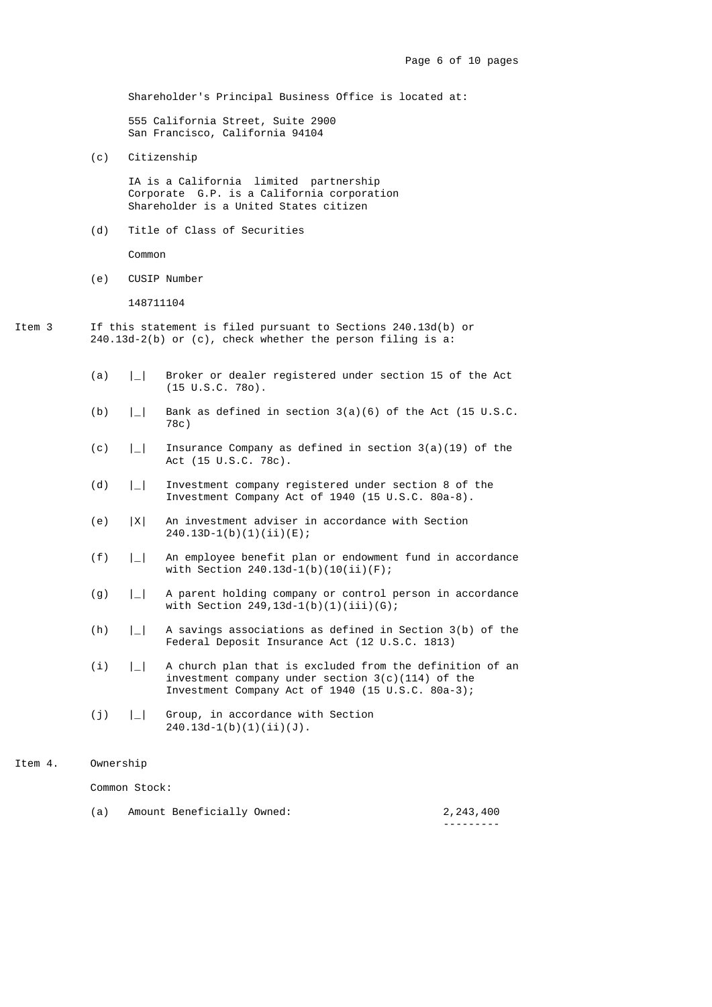Shareholder's Principal Business Office is located at:

 555 California Street, Suite 2900 San Francisco, California 94104

(c) Citizenship

 IA is a California limited partnership Corporate G.P. is a California corporation Shareholder is a United States citizen

(d) Title of Class of Securities

Common

(e) CUSIP Number

148711104

- Item 3 If this statement is filed pursuant to Sections 240.13d(b) or 240.13d-2(b) or (c), check whether the person filing is a:
	- (a) |\_| Broker or dealer registered under section 15 of the Act (15 U.S.C. 78o).
	- (b)  $\vert \_ \vert$  Bank as defined in section 3(a)(6) of the Act (15 U.S.C. 78c)
	- (c)  $\vert \_ \vert$  Insurance Company as defined in section 3(a)(19) of the Act (15 U.S.C. 78c).
	- (d) |\_| Investment company registered under section 8 of the Investment Company Act of 1940 (15 U.S.C. 80a-8).
	- (e) |X| An investment adviser in accordance with Section  $240.13D-1(b)(1)(ii)(E);$
	- (f) |\_| An employee benefit plan or endowment fund in accordance with Section 240.13d-1(b)(10(ii)(F);
	- (g) |\_| A parent holding company or control person in accordance with Section  $249, 13d-1(b)(1)(iii)(G);$
	- (h) |\_| A savings associations as defined in Section 3(b) of the Federal Deposit Insurance Act (12 U.S.C. 1813)
- (i) |\_| A church plan that is excluded from the definition of an investment company under section 3(c)(114) of the Investment Company Act of 1940 (15 U.S.C. 80a-3);
	- (j) |\_| Group, in accordance with Section 240.13d-1(b)(1)(ii)(J).
- Item 4. Ownership

Common Stock:

| Amount Beneficially Owned: | 2,243,400 |
|----------------------------|-----------|
|                            | --------- |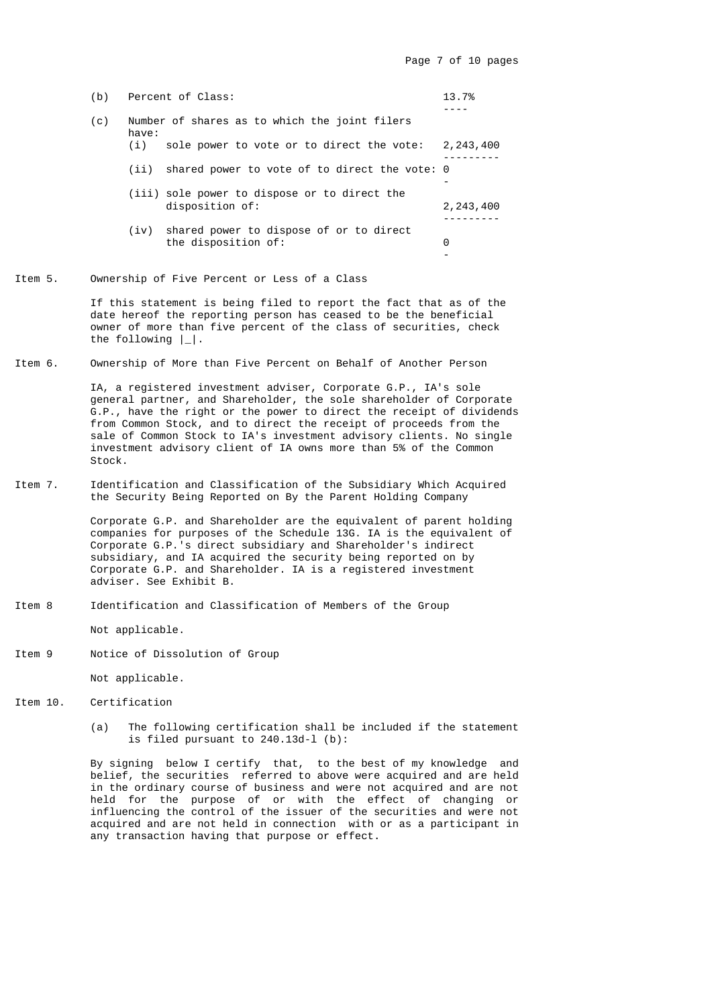| (b) |       | Percent of Class:                                               | 13.7%       |
|-----|-------|-----------------------------------------------------------------|-------------|
| (c) | have: | Number of shares as to which the joint filers                   |             |
|     | (i)   | sole power to vote or to direct the vote:                       | 2, 243, 400 |
|     | (iii) | shared power to vote of to direct the vote: 0                   |             |
|     |       | (iii) sole power to dispose or to direct the<br>disposition of: | 2, 243, 400 |
|     | (iv)  | shared power to dispose of or to direct<br>the disposition of:  | 0           |
|     |       |                                                                 |             |

Item 5. Ownership of Five Percent or Less of a Class

 If this statement is being filed to report the fact that as of the date hereof the reporting person has ceased to be the beneficial owner of more than five percent of the class of securities, check the following |\_|.

Item 6. Ownership of More than Five Percent on Behalf of Another Person

 IA, a registered investment adviser, Corporate G.P., IA's sole general partner, and Shareholder, the sole shareholder of Corporate G.P., have the right or the power to direct the receipt of dividends from Common Stock, and to direct the receipt of proceeds from the sale of Common Stock to IA's investment advisory clients. No single investment advisory client of IA owns more than 5% of the Common Stock.

Item 7. Identification and Classification of the Subsidiary Which Acquired the Security Being Reported on By the Parent Holding Company

> Corporate G.P. and Shareholder are the equivalent of parent holding companies for purposes of the Schedule 13G. IA is the equivalent of Corporate G.P.'s direct subsidiary and Shareholder's indirect subsidiary, and IA acquired the security being reported on by Corporate G.P. and Shareholder. IA is a registered investment adviser. See Exhibit B.

Item 8 Identification and Classification of Members of the Group

Not applicable.

Item 9 Notice of Dissolution of Group

Not applicable.

- Item 10. Certification
	- (a) The following certification shall be included if the statement is filed pursuant to 240.13d-l (b):

 By signing below I certify that, to the best of my knowledge and belief, the securities referred to above were acquired and are held in the ordinary course of business and were not acquired and are not held for the purpose of or with the effect of changing or influencing the control of the issuer of the securities and were not acquired and are not held in connection with or as a participant in any transaction having that purpose or effect.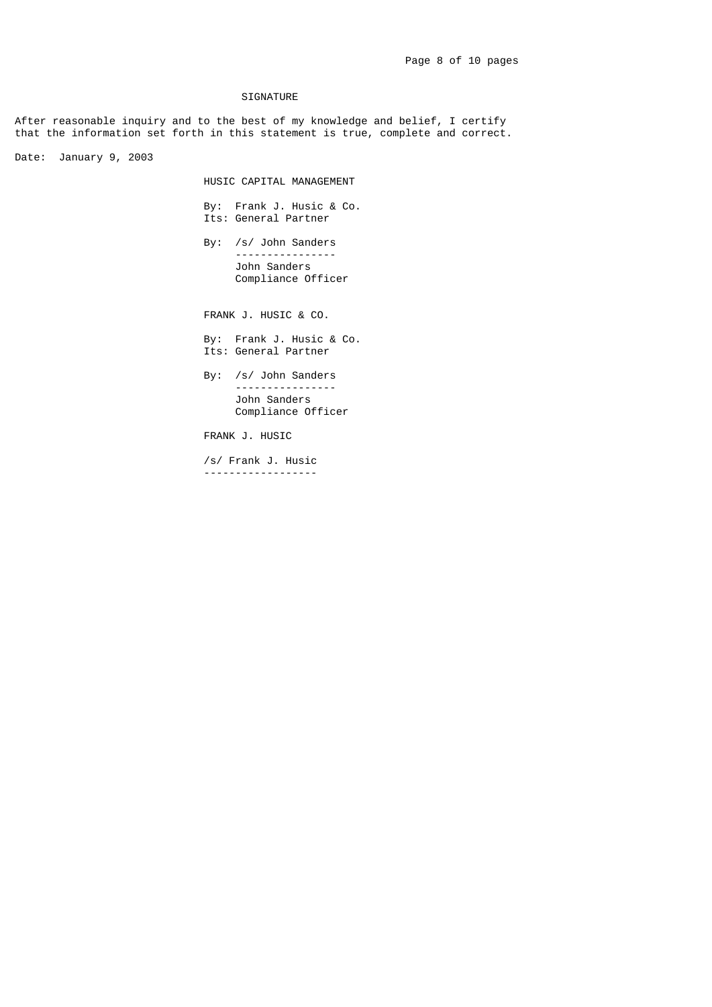### SIGNATURE

After reasonable inquiry and to the best of my knowledge and belief, I certify that the information set forth in this statement is true, complete and correct.

Date: January 9, 2003

HUSIC CAPITAL MANAGEMENT

 By: Frank J. Husic & Co. Its: General Partner

> By: /s/ John Sanders ---------------- John Sanders Compliance Officer

FRANK J. HUSIC & CO.

 By: Frank J. Husic & Co. Its: General Partner

 By: /s/ John Sanders ---------------- John Sanders Compliance Officer

FRANK J. HUSIC

 /s/ Frank J. Husic ------------------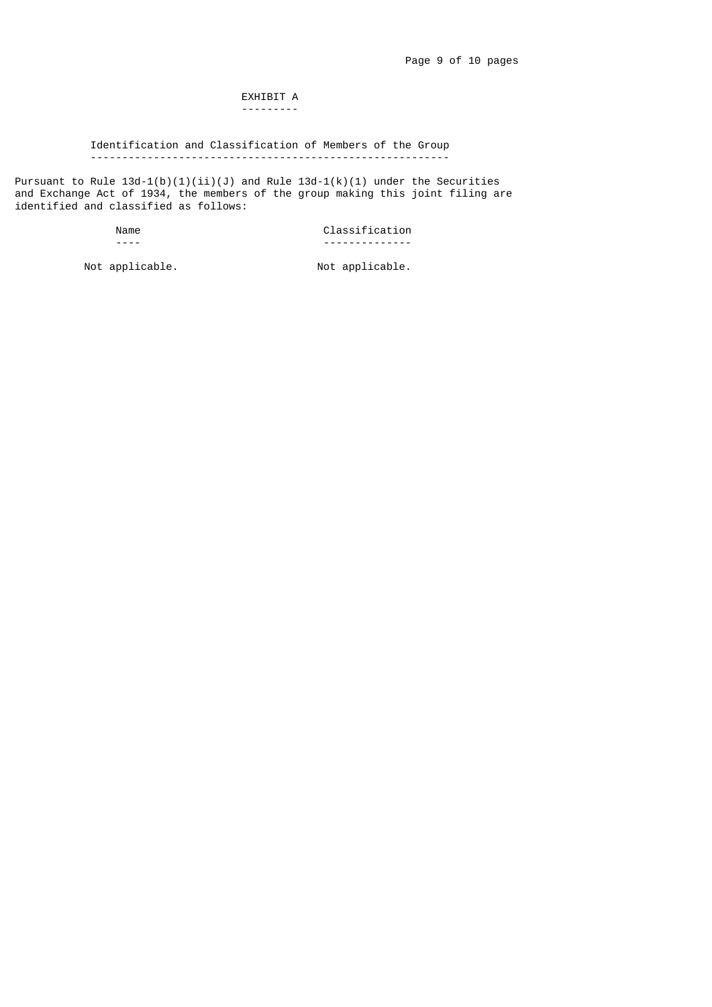#### EXHIBIT A ---------

# Identification and Classification of Members of the Group ---------------------------------------------------------

Pursuant to Rule 13d-1(b)(1)(ii)(J) and Rule 13d-1(k)(1) under the Securities and Exchange Act of 1934, the members of the group making this joint filing are identified and classified as follows:

### Name Classification<br>
The Classification<br>
The Classification ---- --------------

Not applicable.  $\blacksquare$